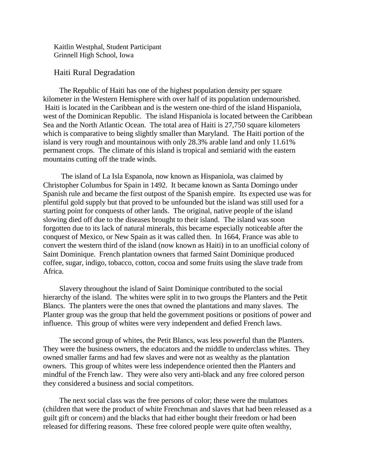Kaitlin Westphal, Student Participant Grinnell High School, Iowa

## Haiti Rural Degradation

The Republic of Haiti has one of the highest population density per square kilometer in the Western Hemisphere with over half of its population undernourished. Haiti is located in the Caribbean and is the western one-third of the island Hispaniola, west of the Dominican Republic. The island Hispaniola is located between the Caribbean Sea and the North Atlantic Ocean. The total area of Haiti is 27,750 square kilometers which is comparative to being slightly smaller than Maryland. The Haiti portion of the island is very rough and mountainous with only 28.3% arable land and only 11.61% permanent crops. The climate of this island is tropical and semiarid with the eastern mountains cutting off the trade winds.

The island of La Isla Espanola, now known as Hispaniola, was claimed by Christopher Columbus for Spain in 1492. It became known as Santa Domingo under Spanish rule and became the first outpost of the Spanish empire. Its expected use was for plentiful gold supply but that proved to be unfounded but the island was still used for a starting point for conquests of other lands. The original, native people of the island slowing died off due to the diseases brought to their island. The island was soon forgotten due to its lack of natural minerals, this became especially noticeable after the conquest of Mexico, or New Spain as it was called then. In 1664, France was able to convert the western third of the island (now known as Haiti) in to an unofficial colony of Saint Dominique. French plantation owners that farmed Saint Dominique produced coffee, sugar, indigo, tobacco, cotton, cocoa and some fruits using the slave trade from Africa.

Slavery throughout the island of Saint Dominique contributed to the social hierarchy of the island. The whites were split in to two groups the Planters and the Petit Blancs. The planters were the ones that owned the plantations and many slaves. The Planter group was the group that held the government positions or positions of power and influence. This group of whites were very independent and defied French laws.

The second group of whites, the Petit Blancs, was less powerful than the Planters. They were the business owners, the educators and the middle to underclass whites. They owned smaller farms and had few slaves and were not as wealthy as the plantation owners. This group of whites were less independence oriented then the Planters and mindful of the French law. They were also very anti-black and any free colored person they considered a business and social competitors.

The next social class was the free persons of color; these were the mulattoes (children that were the product of white Frenchman and slaves that had been released as a guilt gift or concern) and the blacks that had either bought their freedom or had been released for differing reasons. These free colored people were quite often wealthy,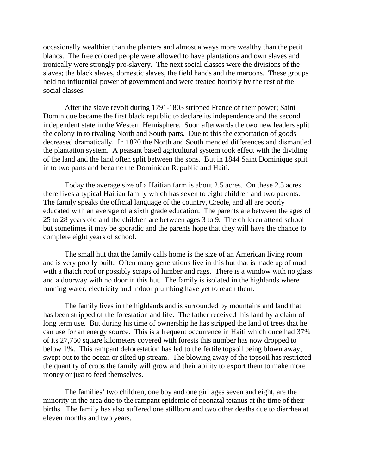occasionally wealthier than the planters and almost always more wealthy than the petit blancs. The free colored people were allowed to have plantations and own slaves and ironically were strongly pro-slavery. The next social classes were the divisions of the slaves; the black slaves, domestic slaves, the field hands and the maroons. These groups held no influential power of government and were treated horribly by the rest of the social classes.

After the slave revolt during 1791-1803 stripped France of their power; Saint Dominique became the first black republic to declare its independence and the second independent state in the Western Hemisphere. Soon afterwards the two new leaders split the colony in to rivaling North and South parts. Due to this the exportation of goods decreased dramatically. In 1820 the North and South mended differences and dismantled the plantation system. A peasant based agricultural system took effect with the dividing of the land and the land often split between the sons. But in 1844 Saint Dominique split in to two parts and became the Dominican Republic and Haiti.

Today the average size of a Haitian farm is about 2.5 acres. On these 2.5 acres there lives a typical Haitian family which has seven to eight children and two parents. The family speaks the official language of the country, Creole, and all are poorly educated with an average of a sixth grade education. The parents are between the ages of 25 to 28 years old and the children are between ages 3 to 9. The children attend school but sometimes it may be sporadic and the parents hope that they will have the chance to complete eight years of school.

The small hut that the family calls home is the size of an American living room and is very poorly built. Often many generations live in this hut that is made up of mud with a thatch roof or possibly scraps of lumber and rags. There is a window with no glass and a doorway with no door in this hut. The family is isolated in the highlands where running water, electricity and indoor plumbing have yet to reach them.

The family lives in the highlands and is surrounded by mountains and land that has been stripped of the forestation and life. The father received this land by a claim of long term use. But during his time of ownership he has stripped the land of trees that he can use for an energy source. This is a frequent occurrence in Haiti which once had 37% of its 27,750 square kilometers covered with forests this number has now dropped to below 1%. This rampant deforestation has led to the fertile topsoil being blown away, swept out to the ocean or silted up stream. The blowing away of the topsoil has restricted the quantity of crops the family will grow and their ability to export them to make more money or just to feed themselves.

The families' two children, one boy and one girl ages seven and eight, are the minority in the area due to the rampant epidemic of neonatal tetanus at the time of their births. The family has also suffered one stillborn and two other deaths due to diarrhea at eleven months and two years.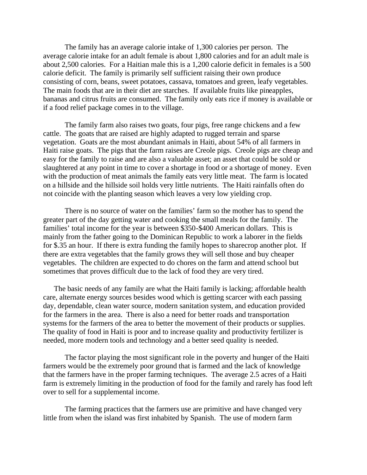The family has an average calorie intake of 1,300 calories per person. The average calorie intake for an adult female is about 1,800 calories and for an adult male is about 2,500 calories. For a Haitian male this is a 1,200 calorie deficit in females is a 500 calorie deficit. The family is primarily self sufficient raising their own produce consisting of corn, beans, sweet potatoes, cassava, tomatoes and green, leafy vegetables. The main foods that are in their diet are starches. If available fruits like pineapples, bananas and citrus fruits are consumed. The family only eats rice if money is available or if a food relief package comes in to the village.

The family farm also raises two goats, four pigs, free range chickens and a few cattle. The goats that are raised are highly adapted to rugged terrain and sparse vegetation. Goats are the most abundant animals in Haiti, about 54% of all farmers in Haiti raise goats. The pigs that the farm raises are Creole pigs. Creole pigs are cheap and easy for the family to raise and are also a valuable asset; an asset that could be sold or slaughtered at any point in time to cover a shortage in food or a shortage of money. Even with the production of meat animals the family eats very little meat. The farm is located on a hillside and the hillside soil holds very little nutrients. The Haiti rainfalls often do not coincide with the planting season which leaves a very low yielding crop.

There is no source of water on the families' farm so the mother has to spend the greater part of the day getting water and cooking the small meals for the family. The families' total income for the year is between \$350-\$400 American dollars. This is mainly from the father going to the Dominican Republic to work a laborer in the fields for \$.35 an hour. If there is extra funding the family hopes to sharecrop another plot. If there are extra vegetables that the family grows they will sell those and buy cheaper vegetables. The children are expected to do chores on the farm and attend school but sometimes that proves difficult due to the lack of food they are very tired.

The basic needs of any family are what the Haiti family is lacking; affordable health care, alternate energy sources besides wood which is getting scarcer with each passing day, dependable, clean water source, modern sanitation system, and education provided for the farmers in the area. There is also a need for better roads and transportation systems for the farmers of the area to better the movement of their products or supplies. The quality of food in Haiti is poor and to increase quality and productivity fertilizer is needed, more modern tools and technology and a better seed quality is needed.

The factor playing the most significant role in the poverty and hunger of the Haiti farmers would be the extremely poor ground that is farmed and the lack of knowledge that the farmers have in the proper farming techniques. The average 2.5 acres of a Haiti farm is extremely limiting in the production of food for the family and rarely has food left over to sell for a supplemental income.

The farming practices that the farmers use are primitive and have changed very little from when the island was first inhabited by Spanish. The use of modern farm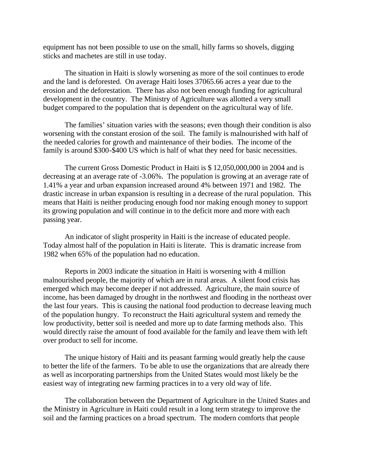equipment has not been possible to use on the small, hilly farms so shovels, digging sticks and machetes are still in use today.

The situation in Haiti is slowly worsening as more of the soil continues to erode and the land is deforested. On average Haiti loses 37065.66 acres a year due to the erosion and the deforestation. There has also not been enough funding for agricultural development in the country. The Ministry of Agriculture was allotted a very small budget compared to the population that is dependent on the agricultural way of life.

The families' situation varies with the seasons; even though their condition is also worsening with the constant erosion of the soil. The family is malnourished with half of the needed calories for growth and maintenance of their bodies. The income of the family is around \$300-\$400 US which is half of what they need for basic necessities.

The current Gross Domestic Product in Haiti is \$ 12,050,000,000 in 2004 and is decreasing at an average rate of -3.06%. The population is growing at an average rate of 1.41% a year and urban expansion increased around 4% between 1971 and 1982. The drastic increase in urban expansion is resulting in a decrease of the rural population. This means that Haiti is neither producing enough food nor making enough money to support its growing population and will continue in to the deficit more and more with each passing year.

An indicator of slight prosperity in Haiti is the increase of educated people. Today almost half of the population in Haiti is literate. This is dramatic increase from 1982 when 65% of the population had no education.

Reports in 2003 indicate the situation in Haiti is worsening with 4 million malnourished people, the majority of which are in rural areas. A silent food crisis has emerged which may become deeper if not addressed. Agriculture, the main source of income, has been damaged by drought in the northwest and flooding in the northeast over the last four years. This is causing the national food production to decrease leaving much of the population hungry. To reconstruct the Haiti agricultural system and remedy the low productivity, better soil is needed and more up to date farming methods also. This would directly raise the amount of food available for the family and leave them with left over product to sell for income.

The unique history of Haiti and its peasant farming would greatly help the cause to better the life of the farmers. To be able to use the organizations that are already there as well as incorporating partnerships from the United States would most likely be the easiest way of integrating new farming practices in to a very old way of life.

The collaboration between the Department of Agriculture in the United States and the Ministry in Agriculture in Haiti could result in a long term strategy to improve the soil and the farming practices on a broad spectrum. The modern comforts that people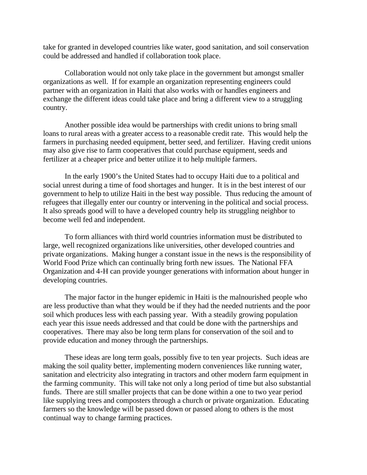take for granted in developed countries like water, good sanitation, and soil conservation could be addressed and handled if collaboration took place.

Collaboration would not only take place in the government but amongst smaller organizations as well. If for example an organization representing engineers could partner with an organization in Haiti that also works with or handles engineers and exchange the different ideas could take place and bring a different view to a struggling country.

Another possible idea would be partnerships with credit unions to bring small loans to rural areas with a greater access to a reasonable credit rate. This would help the farmers in purchasing needed equipment, better seed, and fertilizer. Having credit unions may also give rise to farm cooperatives that could purchase equipment, seeds and fertilizer at a cheaper price and better utilize it to help multiple farmers.

In the early 1900's the United States had to occupy Haiti due to a political and social unrest during a time of food shortages and hunger. It is in the best interest of our government to help to utilize Haiti in the best way possible. Thus reducing the amount of refugees that illegally enter our country or intervening in the political and social process. It also spreads good will to have a developed country help its struggling neighbor to become well fed and independent.

To form alliances with third world countries information must be distributed to large, well recognized organizations like universities, other developed countries and private organizations. Making hunger a constant issue in the news is the responsibility of World Food Prize which can continually bring forth new issues. The National FFA Organization and 4-H can provide younger generations with information about hunger in developing countries.

The major factor in the hunger epidemic in Haiti is the malnourished people who are less productive than what they would be if they had the needed nutrients and the poor soil which produces less with each passing year. With a steadily growing population each year this issue needs addressed and that could be done with the partnerships and cooperatives. There may also be long term plans for conservation of the soil and to provide education and money through the partnerships.

These ideas are long term goals, possibly five to ten year projects. Such ideas are making the soil quality better, implementing modern conveniences like running water, sanitation and electricity also integrating in tractors and other modern farm equipment in the farming community. This will take not only a long period of time but also substantial funds. There are still smaller projects that can be done within a one to two year period like supplying trees and composters through a church or private organization. Educating farmers so the knowledge will be passed down or passed along to others is the most continual way to change farming practices.